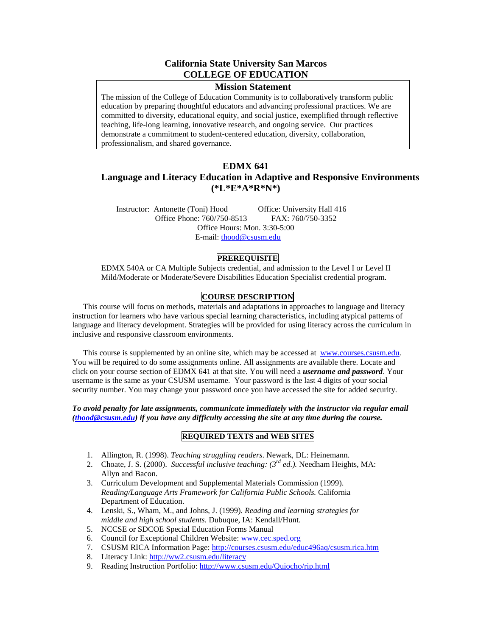# **California State University San Marcos COLLEGE OF EDUCATION**

#### **Mission Statement**

The mission of the College of Education Community is to collaboratively transform public education by preparing thoughtful educators and advancing professional practices. We are committed to diversity, educational equity, and social justice, exemplified through reflective teaching, life-long learning, innovative research, and ongoing service. Our practices demonstrate a commitment to student-centered education, diversity, collaboration, professionalism, and shared governance.

# **EDMX 641**

# **Language and Literacy Education in Adaptive and Responsive Environments (\*L\*E\*A\*R\*N\*)**

Instructor: Antonette (Toni) Hood Office: University Hall 416 Office Phone: 760/750-8513 FAX: 760/750-3352 Office Hours: Mon. 3:30-5:00 E-mail: [thood@csusm.edu](mailto:thood@mailhost1.csusm.edu)

## **PREREQUISITE**

EDMX 540A or CA Multiple Subjects credential, and admission to the Level I or Level II Mild/Moderate or Moderate/Severe Disabilities Education Specialist credential program.

# **COURSE DESCRIPTION**

This course will focus on methods, materials and adaptations in approaches to language and literacy instruction for learners who have various special learning characteristics, including atypical patterns of language and literacy development. Strategies will be provided for using literacy across the curriculum in inclusive and responsive classroom environments.

This course is supplemented by an online site, which may be accessed at www.courses.csusm.edu. You will be required to do some assignments online. All assignments are available there. Locate and click on your course section of EDMX 641 at that site. You will need a *username and password*. Your username is the same as your CSUSM username. Your password is the last 4 digits of your social security number. You may change your password once you have accessed the site for added security.

*To avoid penalty for late assignments, communicate immediately with the instructor via regular email [\(thood@csusm.edu\)](mailto:thood@csusm.edu) if you have any difficulty accessing the site at any time during the course.* 

## **REQUIRED TEXTS and WEB SITES**

- 1. Allington, R. (1998). *Teaching struggling readers*. Newark, DL: Heinemann.
- 2. Choate, J. S. (2000). *Successful inclusive teaching: (3rd ed.).* Needham Heights, MA: Allyn and Bacon.
- 3. Curriculum Development and Supplemental Materials Commission (1999). *Reading/Language Arts Framework for California Public Schools.* California Department of Education.
- 4. Lenski, S., Wham, M., and Johns, J. (1999). *Reading and learning strategies for middle and high school students*. Dubuque, IA: Kendall/Hunt.
- 5. NCCSE or SDCOE Special Education Forms Manual
- 6. Council for Exceptional Children Website: [www.cec.sped.org](http://www.cec.sped.org/)
- 7. CSUSM RICA Information Page:<http://courses.csusm.edu/educ496aq/csusm.rica.htm>
- 8. Literacy Link:<http://ww2.csusm.edu/literacy>
- 9. Reading Instruction Portfolio: <http://www.csusm.edu/Quiocho/rip.html>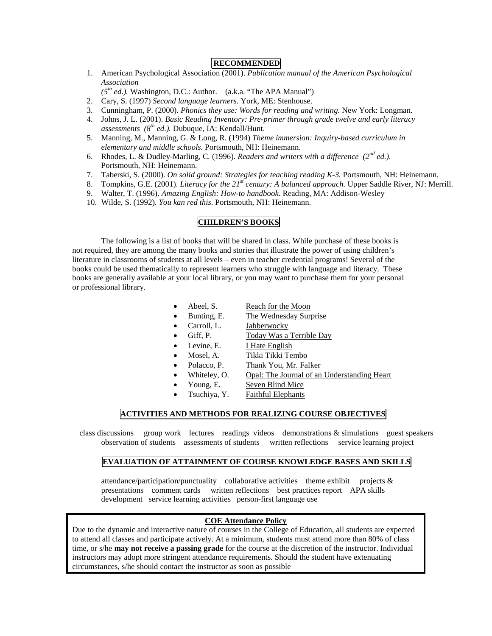## **RECOMMENDED**

- 1. American Psychological Association (2001). *Publication manual of the American Psychological Association*
- *(5th ed.).* Washington, D.C.: Author. (a.k.a. "The APA Manual")
- 2. Cary, S. (1997) *Second language learners.* York, ME: Stenhouse.
- 3. Cunningham, P. (2000). *Phonics they use: Words for reading and writing.* New York: Longman.
- 4. Johns, J. L. (2001). *Basic Reading Inventory: Pre-primer through grade twelve and early literacy assessments (8th ed.).* Dubuque, IA: Kendall/Hunt.
- 5. Manning, M., Manning, G. & Long, R. (1994) *Theme immersion: Inquiry-based curriculum in elementary and middle schools.* Portsmouth, NH: Heinemann.
- 6. Rhodes, L. & Dudley-Marling, C*.* (1996). *Readers and writers with a difference (2nd ed.).*  Portsmouth, NH: Heinemann.
- 7. Taberski, S. (2000). *On solid ground: Strategies for teaching reading K-3.* Portsmouth, NH: Heinemann.
- 8. Tompkins, G.E. (2001). *Literacy for the 21st century: A balanced approach.* Upper Saddle River, NJ: Merrill.
- 9. Walter, T. (1996). *Amazing English: How-to handbook*. Reading, MA: Addison-Wesley
- 10. Wilde, S. (1992). *You kan red this*. Portsmouth, NH: Heinemann.

# **CHILDREN'S BOOKS**

The following is a list of books that will be shared in class. While purchase of these books is not required, they are among the many books and stories that illustrate the power of using children's literature in classrooms of students at all levels – even in teacher credential programs! Several of the books could be used thematically to represent learners who struggle with language and literacy. These books are generally available at your local library, or you may want to purchase them for your personal or professional library.

- Abeel, S. Reach for the Moon
	- Bunting, E. The Wednesday Surprise
		- Carroll, L. **Jabberwocky**
		- Giff, P. Today Was a Terrible Day
	- Levine, E. I Hate English
	- Mosel, A. Tikki Tikki Tembo
	- Polacco, P. Thank You, Mr. Falker
		- Whiteley, O. Opal: The Journal of an Understanding Heart
- Young, E. Seven Blind Mice
- 
- Tsuchiya, Y. Faithful Elephants

## **ACTIVITIES AND METHODS FOR REALIZING COURSE OBJECTIVES**

class discussions group work lectures readings videos demonstrations & simulations guest speakers observation of students assessments of students written reflections service learning project

#### **EVALUATION OF ATTAINMENT OF COURSE KNOWLEDGE BASES AND SKILLS**

attendance/participation/punctuality collaborative activities theme exhibit projects  $\&$ presentations comment cards written reflections best practices report APA skills development service learning activities person-first language use

#### **COE Attendance Policy**

Due to the dynamic and interactive nature of courses in the College of Education, all students are expected to attend all classes and participate actively. At a minimum, students must attend more than 80% of class time, or s/he **may not receive a passing grade** for the course at the discretion of the instructor. Individual instructors may adopt more stringent attendance requirements. Should the student have extenuating circumstances, s/he should contact the instructor as soon as possible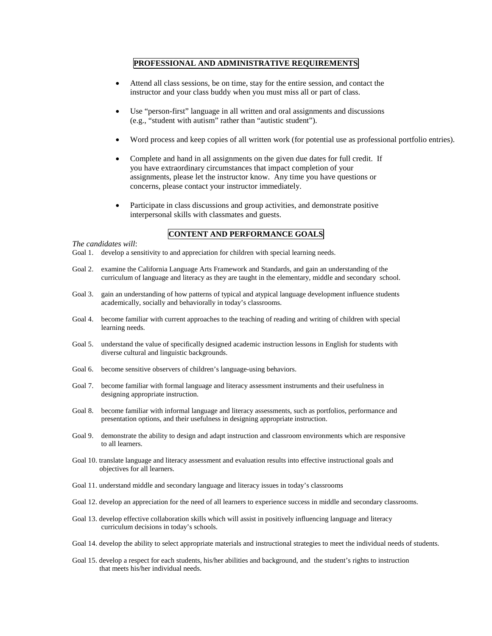### **PROFESSIONAL AND ADMINISTRATIVE REQUIREMENTS**

- Attend all class sessions, be on time, stay for the entire session, and contact the instructor and your class buddy when you must miss all or part of class.
- Use "person-first" language in all written and oral assignments and discussions (e.g., "student with autism" rather than "autistic student").
- Word process and keep copies of all written work (for potential use as professional portfolio entries).
- Complete and hand in all assignments on the given due dates for full credit. If you have extraordinary circumstances that impact completion of your assignments, please let the instructor know. Any time you have questions or concerns, please contact your instructor immediately.
- Participate in class discussions and group activities, and demonstrate positive interpersonal skills with classmates and guests.

# **CONTENT AND PERFORMANCE GOALS**

#### *The candidates will*:

- Goal 1. develop a sensitivity to and appreciation for children with special learning needs.
- Goal 2. examine the California Language Arts Framework and Standards, and gain an understanding of the curriculum of language and literacy as they are taught in the elementary, middle and secondary school.
- Goal 3. gain an understanding of how patterns of typical and atypical language development influence students academically, socially and behaviorally in today's classrooms.
- Goal 4. become familiar with current approaches to the teaching of reading and writing of children with special learning needs.
- Goal 5. understand the value of specifically designed academic instruction lessons in English for students with diverse cultural and linguistic backgrounds.
- Goal 6. become sensitive observers of children's language-using behaviors.
- Goal 7. become familiar with formal language and literacy assessment instruments and their usefulness in designing appropriate instruction.
- Goal 8. become familiar with informal language and literacy assessments, such as portfolios, performance and presentation options, and their usefulness in designing appropriate instruction.
- Goal 9. demonstrate the ability to design and adapt instruction and classroom environments which are responsive to all learners.
- Goal 10. translate language and literacy assessment and evaluation results into effective instructional goals and objectives for all learners.
- Goal 11. understand middle and secondary language and literacy issues in today's classrooms
- Goal 12. develop an appreciation for the need of all learners to experience success in middle and secondary classrooms.
- Goal 13. develop effective collaboration skills which will assist in positively influencing language and literacy curriculum decisions in today's schools.
- Goal 14. develop the ability to select appropriate materials and instructional strategies to meet the individual needs of students.
- Goal 15. develop a respect for each students, his/her abilities and background, and the student's rights to instruction that meets his/her individual needs.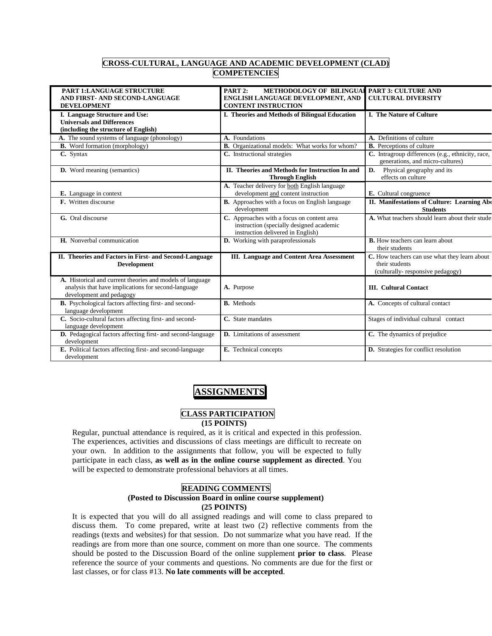# **CROSS-CULTURAL, LANGUAGE AND ACADEMIC DEVELOPMENT (CLAD) COMPETENCIES**

| <b>PART 1:LANGUAGE STRUCTURE</b><br>AND FIRST- AND SECOND-LANGUAGE<br><b>DEVELOPMENT</b>                                                     | <b>METHODOLOGY OF BILINGUAL</b><br>PART 2:<br>ENGLISH LANGUAGE DEVELOPMENT, AND<br><b>CONTENT INSTRUCTION</b>               | <b>PART 3: CULTURE AND</b><br><b>CULTURAL DIVERSITY</b>                                             |
|----------------------------------------------------------------------------------------------------------------------------------------------|-----------------------------------------------------------------------------------------------------------------------------|-----------------------------------------------------------------------------------------------------|
|                                                                                                                                              |                                                                                                                             |                                                                                                     |
| I. Language Structure and Use:<br><b>Universals and Differences</b>                                                                          | I. Theories and Methods of Bilingual Education                                                                              | <b>I. The Nature of Culture</b>                                                                     |
| (including the structure of English)                                                                                                         |                                                                                                                             |                                                                                                     |
| A. The sound systems of language (phonology)                                                                                                 | A. Foundations                                                                                                              | A. Definitions of culture                                                                           |
| <b>B.</b> Word formation (morphology)                                                                                                        | <b>B.</b> Organizational models: What works for whom?                                                                       | <b>B.</b> Perceptions of culture                                                                    |
|                                                                                                                                              |                                                                                                                             |                                                                                                     |
| C. Syntax                                                                                                                                    | C. Instructional strategies                                                                                                 | C. Intragroup differences (e.g., ethnicity, race,<br>generations, and micro-cultures)               |
| <b>D.</b> Word meaning (semantics)                                                                                                           | II. Theories and Methods for Instruction In and<br><b>Through English</b>                                                   | D.<br>Physical geography and its<br>effects on culture                                              |
|                                                                                                                                              | A. Teacher delivery for both English language                                                                               |                                                                                                     |
| E. Language in context                                                                                                                       | development and content instruction                                                                                         | E. Cultural congruence                                                                              |
| <b>F.</b> Written discourse                                                                                                                  | <b>B.</b> Approaches with a focus on English language                                                                       | II. Manifestations of Culture: Learning Abo                                                         |
|                                                                                                                                              | development                                                                                                                 | <b>Students</b>                                                                                     |
| G. Oral discourse                                                                                                                            | C. Approaches with a focus on content area<br>instruction (specially designed academic<br>instruction delivered in English) | A. What teachers should learn about their stude                                                     |
| H. Nonverbal communication                                                                                                                   | <b>D.</b> Working with paraprofessionals                                                                                    | <b>B.</b> How teachers can learn about<br>their students                                            |
| II. Theories and Factors in First- and Second-Language<br><b>Development</b>                                                                 | <b>III.</b> Language and Content Area Assessment                                                                            | C. How teachers can use what they learn about<br>their students<br>(culturally-responsive pedagogy) |
| A. Historical and current theories and models of language<br>analysis that have implications for second-language<br>development and pedagogy | A. Purpose                                                                                                                  | <b>III.</b> Cultural Contact                                                                        |
| B. Psychological factors affecting first- and second-<br>language development                                                                | <b>B.</b> Methods                                                                                                           | A. Concepts of cultural contact                                                                     |
| C. Socio-cultural factors affecting first- and second-<br>language development                                                               | C. State mandates                                                                                                           | Stages of individual cultural contact                                                               |
| D. Pedagogical factors affecting first- and second-language<br>development                                                                   | <b>D.</b> Limitations of assessment                                                                                         | C. The dynamics of prejudice                                                                        |
| E. Political factors affecting first- and second-language<br>development                                                                     | E. Technical concepts                                                                                                       | D. Strategies for conflict resolution                                                               |

# **ASSIGNMENTS**

#### **CLASS PARTICIPATION (15 POINTS)**

Regular, punctual attendance is required, as it is critical and expected in this profession. The experiences, activities and discussions of class meetings are difficult to recreate on your own. In addition to the assignments that follow, you will be expected to fully participate in each class, **as well as in the online course supplement as directed**. You will be expected to demonstrate professional behaviors at all times.

## **READING COMMENTS**

#### **(Posted to Discussion Board in online course supplement) (25 POINTS)**

It is expected that you will do all assigned readings and will come to class prepared to discuss them. To come prepared, write at least two (2) reflective comments from the readings (texts and websites) for that session. Do not summarize what you have read. If the readings are from more than one source, comment on more than one source. The comments should be posted to the Discussion Board of the online supplement **prior to class**. Please reference the source of your comments and questions. No comments are due for the first or last classes, or for class #13. **No late comments will be accepted**.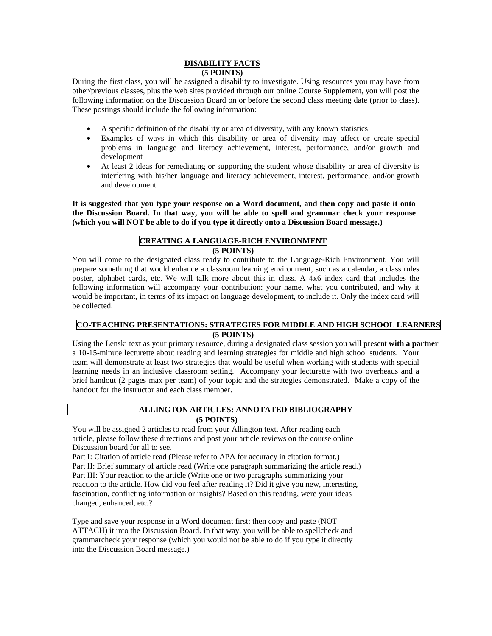#### **DISABILITY FACTS (5 POINTS)**

During the first class, you will be assigned a disability to investigate. Using resources you may have from other/previous classes, plus the web sites provided through our online Course Supplement, you will post the following information on the Discussion Board on or before the second class meeting date (prior to class). These postings should include the following information:

- A specific definition of the disability or area of diversity, with any known statistics
- Examples of ways in which this disability or area of diversity may affect or create special problems in language and literacy achievement, interest, performance, and/or growth and development
- At least 2 ideas for remediating or supporting the student whose disability or area of diversity is interfering with his/her language and literacy achievement, interest, performance, and/or growth and development

**It is suggested that you type your response on a Word document, and then copy and paste it onto the Discussion Board. In that way, you will be able to spell and grammar check your response (which you will NOT be able to do if you type it directly onto a Discussion Board message.)**

## **CREATING A LANGUAGE-RICH ENVIRONMENT (5 POINTS)**

You will come to the designated class ready to contribute to the Language-Rich Environment. You will prepare something that would enhance a classroom learning environment, such as a calendar, a class rules poster, alphabet cards, etc. We will talk more about this in class. A 4x6 index card that includes the following information will accompany your contribution: your name, what you contributed, and why it would be important, in terms of its impact on language development, to include it. Only the index card will be collected.

#### **CO-TEACHING PRESENTATIONS: STRATEGIES FOR MIDDLE AND HIGH SCHOOL LEARNERS (5 POINTS)**

Using the Lenski text as your primary resource, during a designated class session you will present **with a partner** a 10-15-minute lecturette about reading and learning strategies for middle and high school students. Your team will demonstrate at least two strategies that would be useful when working with students with special learning needs in an inclusive classroom setting. Accompany your lecturette with two overheads and a brief handout (2 pages max per team) of your topic and the strategies demonstrated. Make a copy of the handout for the instructor and each class member.

## **ALLINGTON ARTICLES: ANNOTATED BIBLIOGRAPHY**

## **(5 POINTS)**

You will be assigned 2 articles to read from your Allington text. After reading each article, please follow these directions and post your article reviews on the course online Discussion board for all to see.

Part I: Citation of article read (Please refer to APA for accuracy in citation format.) Part II: Brief summary of article read (Write one paragraph summarizing the article read.) Part III: Your reaction to the article (Write one or two paragraphs summarizing your reaction to the article. How did you feel after reading it? Did it give you new, interesting, fascination, conflicting information or insights? Based on this reading, were your ideas changed, enhanced, etc.?

Type and save your response in a Word document first; then copy and paste (NOT ATTACH) it into the Discussion Board. In that way, you will be able to spellcheck and grammarcheck your response (which you would not be able to do if you type it directly into the Discussion Board message.)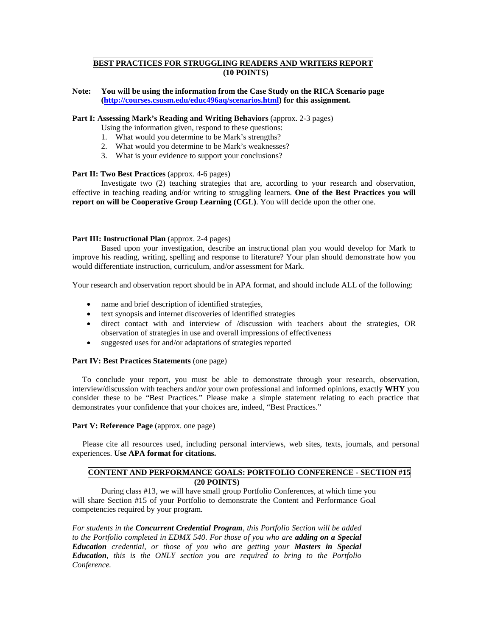## **BEST PRACTICES FOR STRUGGLING READERS AND WRITERS REPORT (10 POINTS)**

**Note: You will be using the information from the Case Study on the RICA Scenario page [\(http://courses.csusm.edu/educ496aq/scenarios.html\)](http://courses.csusm.edu/educ496aq/scenarios.html) for this assignment.**

#### **Part I: Assessing Mark's Reading and Writing Behaviors** (approx. 2-3 pages)

- Using the information given, respond to these questions:
- 1. What would you determine to be Mark's strengths?
- 2. What would you determine to be Mark's weaknesses?
- 3. What is your evidence to support your conclusions?

#### **Part II: Two Best Practices** (approx. 4-6 pages)

Investigate two (2) teaching strategies that are, according to your research and observation, effective in teaching reading and/or writing to struggling learners. **One of the Best Practices you will report on will be Cooperative Group Learning (CGL)**. You will decide upon the other one.

#### **Part III: Instructional Plan** (approx. 2-4 pages)

Based upon your investigation, describe an instructional plan you would develop for Mark to improve his reading, writing, spelling and response to literature? Your plan should demonstrate how you would differentiate instruction, curriculum, and/or assessment for Mark.

Your research and observation report should be in APA format, and should include ALL of the following:

- name and brief description of identified strategies,
- text synopsis and internet discoveries of identified strategies
- direct contact with and interview of /discussion with teachers about the strategies, OR observation of strategies in use and overall impressions of effectiveness
- suggested uses for and/or adaptations of strategies reported

#### **Part IV: Best Practices Statements** (one page)

 To conclude your report, you must be able to demonstrate through your research, observation, interview/discussion with teachers and/or your own professional and informed opinions, exactly **WHY** you consider these to be "Best Practices." Please make a simple statement relating to each practice that demonstrates your confidence that your choices are, indeed, "Best Practices."

#### **Part V: Reference Page** (approx. one page)

 Please cite all resources used, including personal interviews, web sites, texts, journals, and personal experiences. **Use APA format for citations.**

#### **CONTENT AND PERFORMANCE GOALS: PORTFOLIO CONFERENCE - SECTION #15 (20 POINTS)**

During class #13, we will have small group Portfolio Conferences, at which time you will share Section #15 of your Portfolio to demonstrate the Content and Performance Goal competencies required by your program.

*For students in the Concurrent Credential Program, this Portfolio Section will be added to the Portfolio completed in EDMX 540. For those of you who are adding on a Special Education credential, or those of you who are getting your Masters in Special Education, this is the ONLY section you are required to bring to the Portfolio Conference.*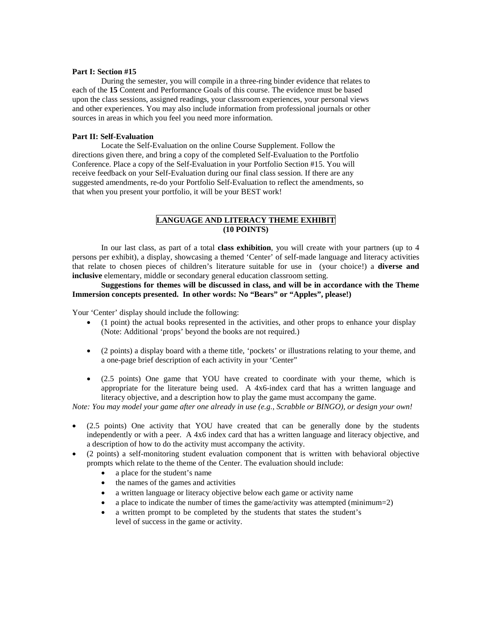#### **Part I: Section #15**

During the semester, you will compile in a three-ring binder evidence that relates to each of the **15** Content and Performance Goals of this course. The evidence must be based upon the class sessions, assigned readings, your classroom experiences, your personal views and other experiences. You may also include information from professional journals or other sources in areas in which you feel you need more information.

#### **Part II: Self-Evaluation**

Locate the Self-Evaluation on the online Course Supplement. Follow the directions given there, and bring a copy of the completed Self-Evaluation to the Portfolio Conference. Place a copy of the Self-Evaluation in your Portfolio Section #15. You will receive feedback on your Self-Evaluation during our final class session. If there are any suggested amendments, re-do your Portfolio Self-Evaluation to reflect the amendments, so that when you present your portfolio, it will be your BEST work!

## **LANGUAGE AND LITERACY THEME EXHIBIT (10 POINTS)**

In our last class, as part of a total **class exhibition**, you will create with your partners (up to 4 persons per exhibit), a display, showcasing a themed 'Center' of self-made language and literacy activities that relate to chosen pieces of children's literature suitable for use in (your choice!) a **diverse and inclusive** elementary, middle or secondary general education classroom setting.

#### **Suggestions for themes will be discussed in class, and will be in accordance with the Theme Immersion concepts presented. In other words: No "Bears" or "Apples", please!)**

Your 'Center' display should include the following:

- (1 point) the actual books represented in the activities, and other props to enhance your display (Note: Additional 'props' beyond the books are not required.)
- (2 points) a display board with a theme title, 'pockets' or illustrations relating to your theme, and a one-page brief description of each activity in your 'Center"
- (2.5 points) One game that YOU have created to coordinate with your theme, which is appropriate for the literature being used. A 4x6-index card that has a written language and literacy objective, and a description how to play the game must accompany the game.

*Note: You may model your game after one already in use (e.g., Scrabble or BINGO), or design your own!*

- (2.5 points) One activity that YOU have created that can be generally done by the students independently or with a peer. A 4x6 index card that has a written language and literacy objective, and a description of how to do the activity must accompany the activity.
- (2 points) a self-monitoring student evaluation component that is written with behavioral objective prompts which relate to the theme of the Center. The evaluation should include:
	- a place for the student's name
	- the names of the games and activities
	- a written language or literacy objective below each game or activity name
	- a place to indicate the number of times the game/activity was attempted (minimum=2)
	- a written prompt to be completed by the students that states the student's level of success in the game or activity.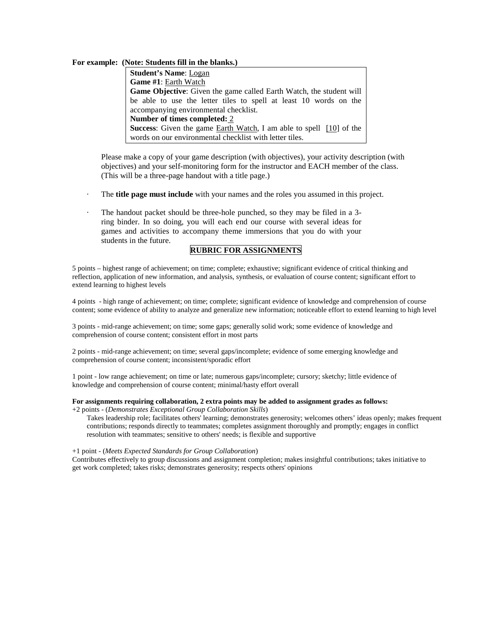#### **For example: (Note: Students fill in the blanks.)**

**Student's Name**: Logan **Game #1**: Earth Watch **Game Objective**: Given the game called Earth Watch, the student will be able to use the letter tiles to spell at least 10 words on the accompanying environmental checklist. **Number of times completed:** 2 **Success**: Given the game Earth Watch, I am able to spell [10] of the words on our environmental checklist with letter tiles.

Please make a copy of your game description (with objectives), your activity description (with objectives) and your self-monitoring form for the instructor and EACH member of the class. (This will be a three-page handout with a title page.)

- The **title page must include** with your names and the roles you assumed in this project.
- The handout packet should be three-hole punched, so they may be filed in a 3ring binder. In so doing, you will each end our course with several ideas for games and activities to accompany theme immersions that you do with your students in the future.

## **RUBRIC FOR ASSIGNMENTS**

5 points – highest range of achievement; on time; complete; exhaustive; significant evidence of critical thinking and reflection, application of new information, and analysis, synthesis, or evaluation of course content; significant effort to extend learning to highest levels

4 points - high range of achievement; on time; complete; significant evidence of knowledge and comprehension of course content; some evidence of ability to analyze and generalize new information; noticeable effort to extend learning to high level

3 points - mid-range achievement; on time; some gaps; generally solid work; some evidence of knowledge and comprehension of course content; consistent effort in most parts

2 points - mid-range achievement; on time; several gaps/incomplete; evidence of some emerging knowledge and comprehension of course content; inconsistent/sporadic effort

1 point - low range achievement; on time or late; numerous gaps/incomplete; cursory; sketchy; little evidence of knowledge and comprehension of course content; minimal/hasty effort overall

#### **For assignments requiring collaboration, 2 extra points may be added to assignment grades as follows:**

+2 points - (*Demonstrates Exceptional Group Collaboration Skills*)

Takes leadership role; facilitates others' learning; demonstrates generosity; welcomes others' ideas openly; makes frequent contributions; responds directly to teammates; completes assignment thoroughly and promptly; engages in conflict resolution with teammates; sensitive to others' needs; is flexible and supportive

#### +1 point - (*Meets Expected Standards for Group Collaboration*)

Contributes effectively to group discussions and assignment completion; makes insightful contributions; takes initiative to get work completed; takes risks; demonstrates generosity; respects others' opinions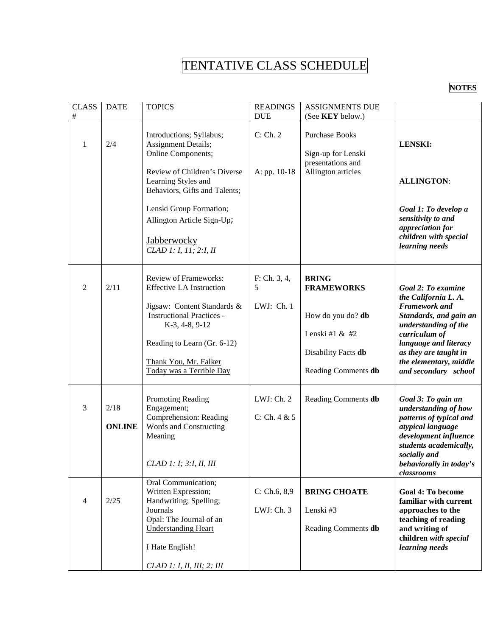# TENTATIVE CLASS SCHEDULE

**NOTES**

| <b>CLASS</b><br>$\#$ | <b>DATE</b>           | <b>TOPICS</b>                                                                                                                                                                                                                            | <b>READINGS</b><br><b>DUE</b>   | <b>ASSIGNMENTS DUE</b><br>(See KEY below.)                                                                               |                                                                                                                                                                                                                                           |
|----------------------|-----------------------|------------------------------------------------------------------------------------------------------------------------------------------------------------------------------------------------------------------------------------------|---------------------------------|--------------------------------------------------------------------------------------------------------------------------|-------------------------------------------------------------------------------------------------------------------------------------------------------------------------------------------------------------------------------------------|
| 1                    | 2/4                   | Introductions; Syllabus;<br>Assignment Details;<br>Online Components;<br>Review of Children's Diverse<br>Learning Styles and<br>Behaviors, Gifts and Talents;                                                                            | C: Ch. 2<br>A: pp. 10-18        | <b>Purchase Books</b><br>Sign-up for Lenski<br>presentations and<br>Allington articles                                   | <b>LENSKI:</b><br><b>ALLINGTON:</b>                                                                                                                                                                                                       |
|                      |                       | Lenski Group Formation;<br>Allington Article Sign-Up;<br><b>Jabberwocky</b><br>CLAD 1: I, 11; 2:I, II                                                                                                                                    |                                 |                                                                                                                          | Goal 1: To develop a<br>sensitivity to and<br>appreciation for<br>children with special<br>learning needs                                                                                                                                 |
| $\overline{2}$       | 2/11                  | <b>Review of Frameworks:</b><br><b>Effective LA Instruction</b><br>Jigsaw: Content Standards &<br><b>Instructional Practices -</b><br>K-3, 4-8, 9-12<br>Reading to Learn (Gr. 6-12)<br>Thank You, Mr. Falker<br>Today was a Terrible Day | F: Ch. 3, 4,<br>5<br>LWJ: Ch. 1 | <b>BRING</b><br><b>FRAMEWORKS</b><br>How do you do? db<br>Lenski #1 $&$ #2<br>Disability Facts db<br>Reading Comments db | Goal 2: To examine<br>the California L. A.<br><b>Framework</b> and<br>Standards, and gain an<br>understanding of the<br>curriculum of<br>language and literacy<br>as they are taught in<br>the elementary, middle<br>and secondary school |
| $\mathfrak{Z}$       | 2/18<br><b>ONLINE</b> | Promoting Reading<br>Engagement;<br>Comprehension: Reading<br>Words and Constructing<br>Meaning<br>CLAD 1: 1; 3:1, II, III                                                                                                               | LWJ: Ch. 2<br>C: Ch. 4 & 5      | Reading Comments db                                                                                                      | Goal 3: To gain an<br>understanding of how<br>patterns of typical and<br>atypical language<br>development influence<br>students academically,<br>socially and<br>behaviorally in today's<br>classrooms                                    |
| $\overline{4}$       | 2/25                  | Oral Communication;<br>Written Expression;<br>Handwriting; Spelling;<br>Journals<br>Opal: The Journal of an<br><b>Understanding Heart</b><br>I Hate English!<br>CLAD 1: I, II, III; 2: III                                               | C: Ch.6, 8,9<br>LWJ: Ch. 3      | <b>BRING CHOATE</b><br>Lenski #3<br>Reading Comments db                                                                  | <b>Goal 4: To become</b><br>familiar with current<br>approaches to the<br>teaching of reading<br>and writing of<br>children with special<br>learning needs                                                                                |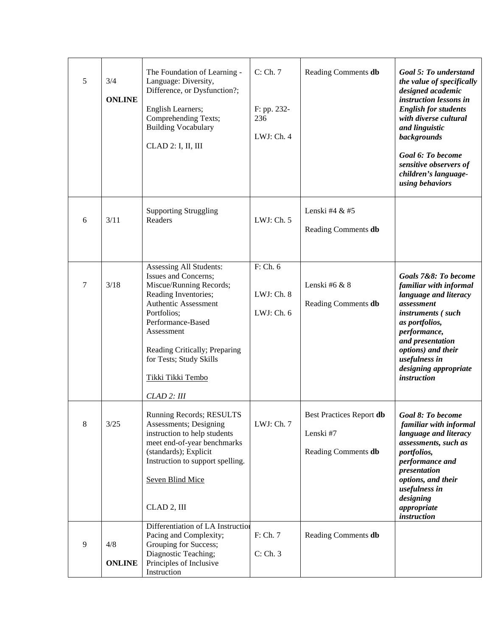| 5 | 3/4<br><b>ONLINE</b> | The Foundation of Learning -<br>Language: Diversity,<br>Difference, or Dysfunction?;<br>English Learners;<br>Comprehending Texts;<br><b>Building Vocabulary</b><br>CLAD 2: I, II, III                                                                                        | C: Ch. 7<br>F: pp. 232-<br>236<br>LWJ: Ch. 4 | Reading Comments db                                          | Goal 5: To understand<br>the value of specifically<br>designed academic<br>instruction lessons in<br><b>English for students</b><br>with diverse cultural<br>and linguistic<br>backgrounds<br>Goal 6: To become<br>sensitive observers of<br>children's language-<br>using behaviors |
|---|----------------------|------------------------------------------------------------------------------------------------------------------------------------------------------------------------------------------------------------------------------------------------------------------------------|----------------------------------------------|--------------------------------------------------------------|--------------------------------------------------------------------------------------------------------------------------------------------------------------------------------------------------------------------------------------------------------------------------------------|
| 6 | 3/11                 | <b>Supporting Struggling</b><br>Readers                                                                                                                                                                                                                                      | LWJ: Ch. 5                                   | Lenski #4 & #5<br>Reading Comments db                        |                                                                                                                                                                                                                                                                                      |
| 7 | 3/18                 | Assessing All Students:<br>Issues and Concerns;<br>Miscue/Running Records;<br>Reading Inventories;<br>Authentic Assessment<br>Portfolios;<br>Performance-Based<br>Assessment<br>Reading Critically; Preparing<br>for Tests; Study Skills<br>Tikki Tikki Tembo<br>CLAD 2: III | F: Ch. 6<br>LWJ: Ch. 8<br>LWJ: Ch. 6         | Lenski #6 & 8<br>Reading Comments db                         | Goals 7&8: To become<br>familiar with informal<br>language and literacy<br>assessment<br>instruments (such<br>as portfolios,<br>performance,<br>and presentation<br>options) and their<br>usefulness in<br>designing appropriate<br><i>instruction</i>                               |
| 8 | $3/25$               | Running Records; RESULTS<br>Assessments; Designing<br>instruction to help students<br>meet end-of-year benchmarks<br>(standards); Explicit<br>Instruction to support spelling.<br><b>Seven Blind Mice</b><br>CLAD 2, III                                                     | LWJ: Ch. 7                                   | Best Practices Report db<br>Lenski #7<br>Reading Comments db | Goal 8: To become<br>familiar with informal<br>language and literacy<br>assessments, such as<br>portfolios,<br>performance and<br>presentation<br>options, and their<br>usefulness in<br>designing<br>appropriate<br>instruction                                                     |
| 9 | 4/8<br><b>ONLINE</b> | Differentiation of LA Instruction<br>Pacing and Complexity;<br>Grouping for Success;<br>Diagnostic Teaching;<br>Principles of Inclusive<br>Instruction                                                                                                                       | F: Ch. 7<br>C: Ch. 3                         | Reading Comments db                                          |                                                                                                                                                                                                                                                                                      |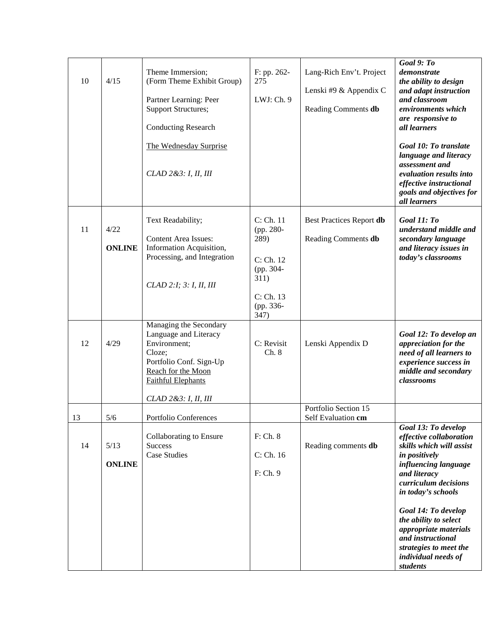| 10 | 4/15                  | Theme Immersion;<br>(Form Theme Exhibit Group)<br>Partner Learning: Peer<br><b>Support Structures;</b><br><b>Conducting Research</b><br>The Wednesday Surprise<br>CLAD 2 & 3: I, II, III | F: pp. 262-<br>275<br>LWJ: Ch. 9                                                                   | Lang-Rich Env't. Project<br>Lenski #9 & Appendix C<br>Reading Comments db | Goal 9: To<br>demonstrate<br>the ability to design<br>and adapt instruction<br>and classroom<br>environments which<br>are responsive to<br>all learners<br>Goal 10: To translate<br>language and literacy<br>assessment and<br>evaluation results into<br>effective instructional<br>goals and objectives for<br>all learners |
|----|-----------------------|------------------------------------------------------------------------------------------------------------------------------------------------------------------------------------------|----------------------------------------------------------------------------------------------------|---------------------------------------------------------------------------|-------------------------------------------------------------------------------------------------------------------------------------------------------------------------------------------------------------------------------------------------------------------------------------------------------------------------------|
| 11 | 4/22<br><b>ONLINE</b> | Text Readability;<br><b>Content Area Issues:</b><br>Information Acquisition,<br>Processing, and Integration<br>CLAD 2:1; 3: I, II, III                                                   | C: Ch. 11<br>(pp. 280-<br>289)<br>C: Ch. 12<br>(pp. 304-<br>311)<br>C: Ch. 13<br>(pp. 336-<br>347) | Best Practices Report db<br>Reading Comments db                           | Goal 11: To<br>understand middle and<br>secondary language<br>and literacy issues in<br>today's classrooms                                                                                                                                                                                                                    |
| 12 | 4/29                  | Managing the Secondary<br>Language and Literacy<br>Environment;<br>Cloze;<br>Portfolio Conf. Sign-Up<br>Reach for the Moon<br><b>Faithful Elephants</b><br>CLAD 2 & 3: I, II, III        | C: Revisit<br>Ch. 8                                                                                | Lenski Appendix D                                                         | Goal 12: To develop an<br>appreciation for the<br>need of all learners to<br>experience success in<br>middle and secondary<br>classrooms                                                                                                                                                                                      |
| 13 | 5/6                   | Portfolio Conferences                                                                                                                                                                    |                                                                                                    | Portfolio Section 15<br>Self Evaluation cm                                |                                                                                                                                                                                                                                                                                                                               |
| 14 | 5/13<br><b>ONLINE</b> | Collaborating to Ensure<br><b>Success</b><br><b>Case Studies</b>                                                                                                                         | F: Ch. 8<br>C: Ch. 16<br>F: Ch. 9                                                                  | Reading comments db                                                       | Goal 13: To develop<br>effective collaboration<br>skills which will assist<br>in positively<br>influencing language<br>and literacy<br>curriculum decisions<br>in today's schools                                                                                                                                             |
|    |                       |                                                                                                                                                                                          |                                                                                                    |                                                                           | Goal 14: To develop<br>the ability to select<br>appropriate materials<br>and instructional<br>strategies to meet the<br>individual needs of<br>students                                                                                                                                                                       |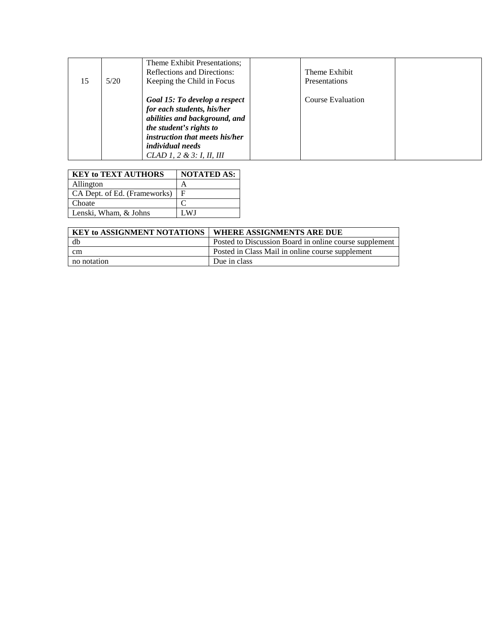| 15 | 5/20 | Theme Exhibit Presentations;<br><b>Reflections and Directions:</b><br>Keeping the Child in Focus                                                                                                                  | Theme Exhibit<br><b>Presentations</b> |  |
|----|------|-------------------------------------------------------------------------------------------------------------------------------------------------------------------------------------------------------------------|---------------------------------------|--|
|    |      | Goal 15: To develop a respect<br>for each students, his/her<br>abilities and background, and<br>the student's rights to<br>instruction that meets his/her<br><i>individual needs</i><br>CLAD 1, 2 & 3: I, II, III | Course Evaluation                     |  |

| <b>KEY to TEXT AUTHORS</b>   | <b>NOTATED AS:</b> |
|------------------------------|--------------------|
| Allington                    |                    |
| CA Dept. of Ed. (Frameworks) |                    |
| Choate                       |                    |
| Lenski, Wham, & Johns        | .WI                |
|                              |                    |

| <b>Unbatt</b>                      |     |                                                        |
|------------------------------------|-----|--------------------------------------------------------|
| Lenski, Wham, & Johns              | LWJ |                                                        |
|                                    |     |                                                        |
| <b>KEY to ASSIGNMENT NOTATIONS</b> |     | WHERE ASSIGNMENTS ARE DUE                              |
| db                                 |     | Posted to Discussion Board in online course supplement |
| cm                                 |     | Posted in Class Mail in online course supplement       |
| no notation                        |     | Due in class                                           |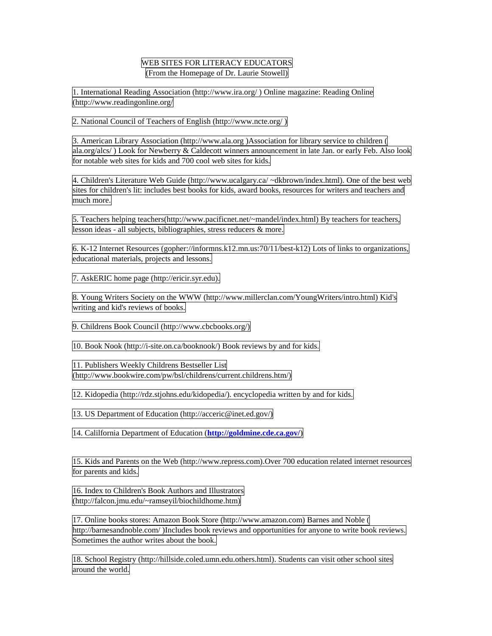# WEB SITES FOR LITERACY EDUCATORS (From the Homepage of Dr. Laurie Stowell)

1. International Reading Association (http://www.ira.org/ ) Online magazine: Reading Online (http://www.readingonline.org/

2. National Council of Teachers of English (http://www.ncte.org/ )

3. American Library Association (http://www.ala.org )Association for library service to children ( ala.org/alcs/ ) Look for Newberry & Caldecott winners announcement in late Jan. or early Feb. Also look for notable web sites for kids and 700 cool web sites for kids.

4. Children's Literature Web Guide (http://www.ucalgary.ca/ ~dkbrown/index.html). One of the best web sites for children's lit: includes best books for kids, award books, resources for writers and teachers and much more.

5. Teachers helping teachers(http://www.pacificnet.net/~mandel/index.html) By teachers for teachers, lesson ideas - all subjects, bibliographies, stress reducers & more.

6. K-12 Internet Resources (gopher://informns.k12.mn.us:70/11/best-k12) Lots of links to organizations, educational materials, projects and lessons.

7. AskERIC home page (http://ericir.syr.edu).

8. Young Writers Society on the WWW (http://www.millerclan.com/YoungWriters/intro.html) Kid's writing and kid's reviews of books.

9. Childrens Book Council (http://www.cbcbooks.org/)

10. Book Nook (http://i-site.on.ca/booknook/) Book reviews by and for kids.

11. Publishers Weekly Childrens Bestseller List (http://www.bookwire.com/pw/bsl/childrens/current.childrens.htm/)

12. Kidopedia (http://rdz.stjohns.edu/kidopedia/). encyclopedia written by and for kids.

13. US Department of Education (http://acceric@inet.ed.gov/)

14. Calilfornia Department of Education (**<http://goldmine.cde.ca.gov/>**)

15. Kids and Parents on the Web (http://www.repress.com).Over 700 education related internet resources for parents and kids.

16. Index to Children's Book Authors and Illustrators (http://falcon.jmu.edu/~ramseyil/biochildhome.htm)

17. Online books stores: Amazon Book Store (http://www.amazon.com) Barnes and Noble ( http://barnesandnoble.com/ )Includes book reviews and opportunities for anyone to write book reviews. Sometimes the author writes about the book.

18. School Registry (http://hillside.coled.umn.edu.others.html). Students can visit other school sites around the world.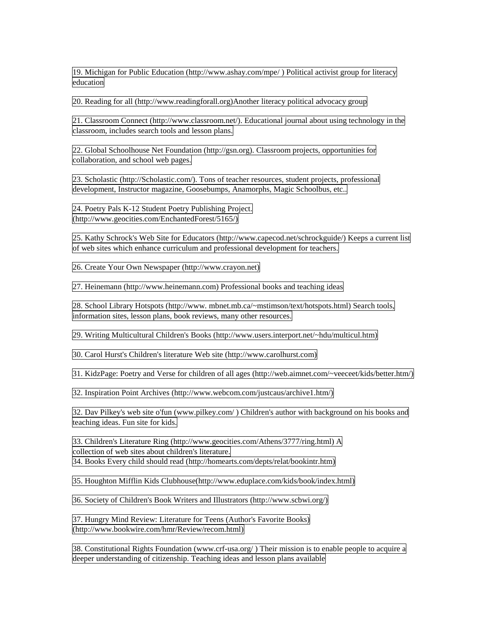19. Michigan for Public Education (http://www.ashay.com/mpe/ ) Political activist group for literacy education

20. Reading for all (http://www.readingforall.org)Another literacy political advocacy group

21. Classroom Connect (http://www.classroom.net/). Educational journal about using technology in the classroom, includes search tools and lesson plans.

22. Global Schoolhouse Net Foundation (http://gsn.org). Classroom projects, opportunities for collaboration, and school web pages.

23. Scholastic (http://Scholastic.com/). Tons of teacher resources, student projects, professional development, Instructor magazine, Goosebumps, Anamorphs, Magic Schoolbus, etc..

24. Poetry Pals K-12 Student Poetry Publishing Project. (http://www.geocities.com/EnchantedForest/5165/)

25. Kathy Schrock's Web Site for Educators (http://www.capecod.net/schrockguide/) Keeps a current list of web sites which enhance curriculum and professional development for teachers.

26. Create Your Own Newspaper (http://www.crayon.net)

27. Heinemann (http://www.heinemann.com) Professional books and teaching ideas

28. School Library Hotspots (http://www. mbnet.mb.ca/~mstimson/text/hotspots.html) Search tools, information sites, lesson plans, book reviews, many other resources.

29. Writing Multicultural Children's Books (http://www.users.interport.net/~hdu/multicul.htm)

30. Carol Hurst's Children's literature Web site (http://www.carolhurst.com)

31. KidzPage: Poetry and Verse for children of all ages (http://web.aimnet.com/~veeceet/kids/better.htm/)

32. Inspiration Point Archives (http://www.webcom.com/justcaus/archive1.htm/)

32. Dav Pilkey's web site o'fun (www.pilkey.com/ ) Children's author with background on his books and teaching ideas. Fun site for kids.

33. Children's Literature Ring (http://www.geocities.com/Athens/3777/ring.html) A collection of web sites about children's literature.

34. Books Every child should read (http://homearts.com/depts/relat/bookintr.htm)

35. Houghton Mifflin Kids Clubhouse(http://www.eduplace.com/kids/book/index.html)

36. Society of Children's Book Writers and Illustrators (http://www.scbwi.org/)

37. Hungry Mind Review: Literature for Teens (Author's Favorite Books) (http://www.bookwire.com/hmr/Review/recom.html)

38. Constitutional Rights Foundation (www.crf-usa.org/ ) Their mission is to enable people to acquire a deeper understanding of citizenship. Teaching ideas and lesson plans available